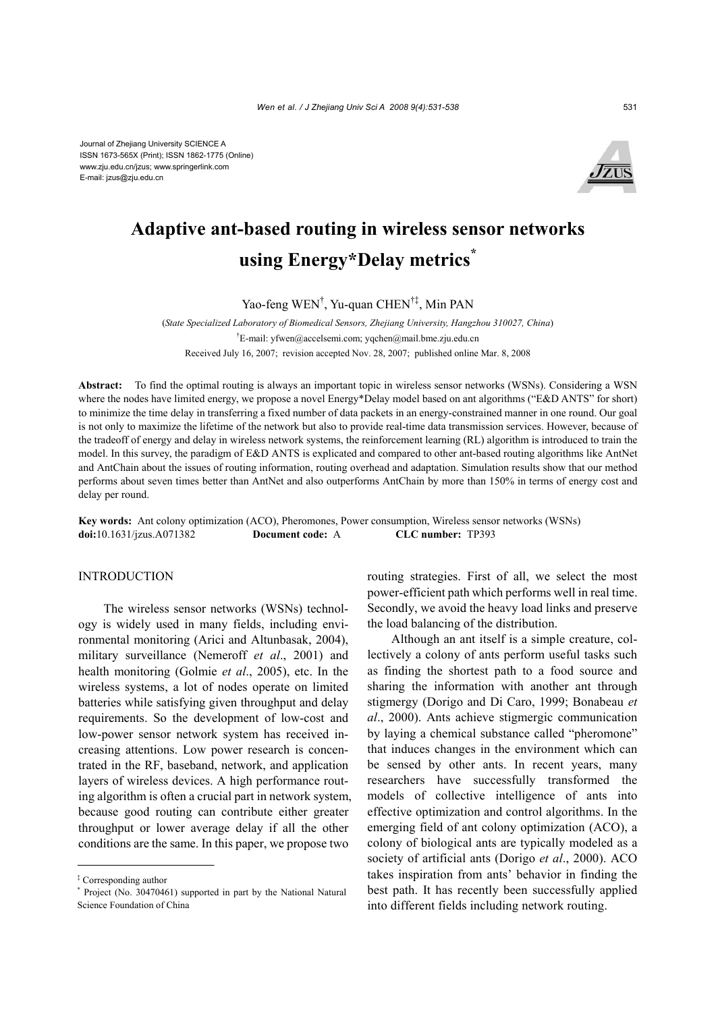

# **Adaptive ant-based routing in wireless sensor networks using Energy\*Delay metrics\***

Yao-feng WEN† , Yu-quan CHEN†‡, Min PAN

(*State Specialized Laboratory of Biomedical Sensors, Zhejiang University, Hangzhou 310027, China*) † E-mail: yfwen@accelsemi.com; yqchen@mail.bme.zju.edu.cn Received July 16, 2007; revision accepted Nov. 28, 2007; published online Mar. 8, 2008

**Abstract:** To find the optimal routing is always an important topic in wireless sensor networks (WSNs). Considering a WSN where the nodes have limited energy, we propose a novel Energy\*Delay model based on ant algorithms ("E&D ANTS" for short) to minimize the time delay in transferring a fixed number of data packets in an energy-constrained manner in one round. Our goal is not only to maximize the lifetime of the network but also to provide real-time data transmission services. However, because of the tradeoff of energy and delay in wireless network systems, the reinforcement learning (RL) algorithm is introduced to train the model. In this survey, the paradigm of E&D ANTS is explicated and compared to other ant-based routing algorithms like AntNet and AntChain about the issues of routing information, routing overhead and adaptation. Simulation results show that our method performs about seven times better than AntNet and also outperforms AntChain by more than 150% in terms of energy cost and delay per round.

**Key words:** Ant colony optimization (ACO), Pheromones, Power consumption, Wireless sensor networks (WSNs) **doi:**10.1631/jzus.A071382 **Document code:** A **CLC number:** TP393

## INTRODUCTION

The wireless sensor networks (WSNs) technology is widely used in many fields, including environmental monitoring (Arici and Altunbasak, 2004), military surveillance (Nemeroff *et al*., 2001) and health monitoring (Golmie *et al*., 2005), etc. In the wireless systems, a lot of nodes operate on limited batteries while satisfying given throughput and delay requirements. So the development of low-cost and low-power sensor network system has received increasing attentions. Low power research is concentrated in the RF, baseband, network, and application layers of wireless devices. A high performance routing algorithm is often a crucial part in network system, because good routing can contribute either greater throughput or lower average delay if all the other conditions are the same. In this paper, we propose two

routing strategies. First of all, we select the most power-efficient path which performs well in real time. Secondly, we avoid the heavy load links and preserve the load balancing of the distribution.

Although an ant itself is a simple creature, collectively a colony of ants perform useful tasks such as finding the shortest path to a food source and sharing the information with another ant through stigmergy (Dorigo and Di Caro, 1999; Bonabeau *et al*., 2000). Ants achieve stigmergic communication by laying a chemical substance called "pheromone" that induces changes in the environment which can be sensed by other ants. In recent years, many researchers have successfully transformed the models of collective intelligence of ants into effective optimization and control algorithms. In the emerging field of ant colony optimization (ACO), a colony of biological ants are typically modeled as a society of artificial ants (Dorigo *et al*., 2000). ACO takes inspiration from ants' behavior in finding the best path. It has recently been successfully applied into different fields including network routing.

<sup>‡</sup> Corresponding author

<sup>\*</sup> Project (No. 30470461) supported in part by the National Natural Science Foundation of China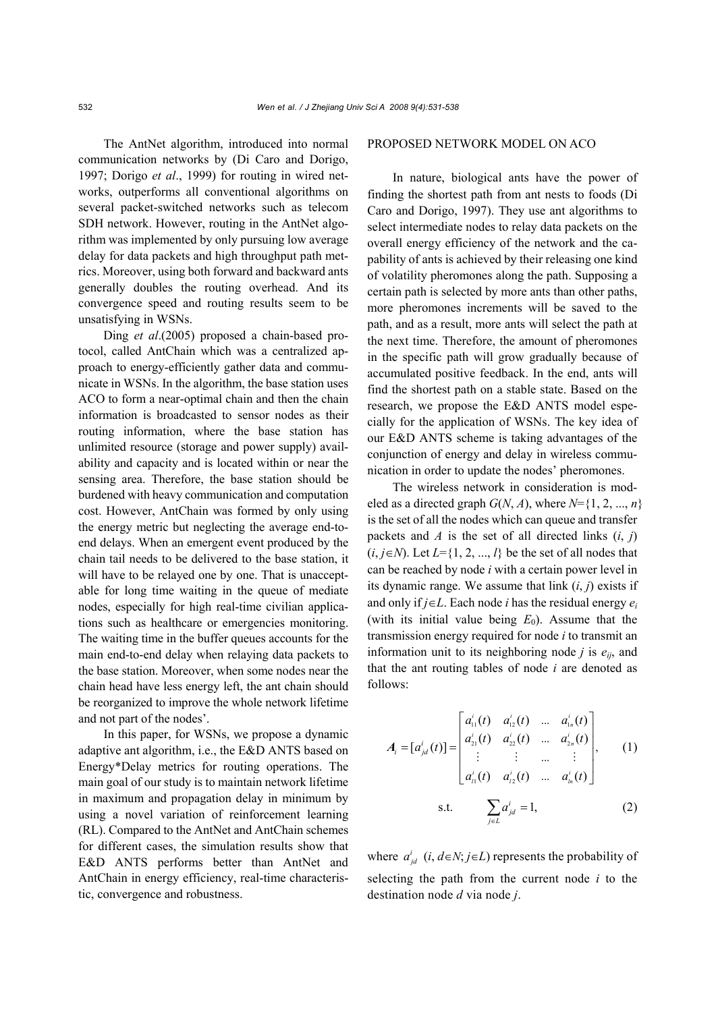The AntNet algorithm, introduced into normal communication networks by (Di Caro and Dorigo, 1997; Dorigo *et al*., 1999) for routing in wired networks, outperforms all conventional algorithms on several packet-switched networks such as telecom SDH network. However, routing in the AntNet algorithm was implemented by only pursuing low average delay for data packets and high throughput path metrics. Moreover, using both forward and backward ants generally doubles the routing overhead. And its convergence speed and routing results seem to be unsatisfying in WSNs.

Ding *et al*.(2005) proposed a chain-based protocol, called AntChain which was a centralized approach to energy-efficiently gather data and communicate in WSNs. In the algorithm, the base station uses ACO to form a near-optimal chain and then the chain information is broadcasted to sensor nodes as their routing information, where the base station has unlimited resource (storage and power supply) availability and capacity and is located within or near the sensing area. Therefore, the base station should be burdened with heavy communication and computation cost. However, AntChain was formed by only using the energy metric but neglecting the average end-toend delays. When an emergent event produced by the chain tail needs to be delivered to the base station, it will have to be relayed one by one. That is unacceptable for long time waiting in the queue of mediate nodes, especially for high real-time civilian applications such as healthcare or emergencies monitoring. The waiting time in the buffer queues accounts for the main end-to-end delay when relaying data packets to the base station. Moreover, when some nodes near the chain head have less energy left, the ant chain should be reorganized to improve the whole network lifetime and not part of the nodes'.

In this paper, for WSNs, we propose a dynamic adaptive ant algorithm, i.e., the E&D ANTS based on Energy\*Delay metrics for routing operations. The main goal of our study is to maintain network lifetime in maximum and propagation delay in minimum by using a novel variation of reinforcement learning (RL). Compared to the AntNet and AntChain schemes for different cases, the simulation results show that E&D ANTS performs better than AntNet and AntChain in energy efficiency, real-time characteristic, convergence and robustness.

## PROPOSED NETWORK MODEL ON ACO

In nature, biological ants have the power of finding the shortest path from ant nests to foods (Di Caro and Dorigo, 1997). They use ant algorithms to select intermediate nodes to relay data packets on the overall energy efficiency of the network and the capability of ants is achieved by their releasing one kind of volatility pheromones along the path. Supposing a certain path is selected by more ants than other paths, more pheromones increments will be saved to the path, and as a result, more ants will select the path at the next time. Therefore, the amount of pheromones in the specific path will grow gradually because of accumulated positive feedback. In the end, ants will find the shortest path on a stable state. Based on the research, we propose the E&D ANTS model especially for the application of WSNs. The key idea of our E&D ANTS scheme is taking advantages of the conjunction of energy and delay in wireless communication in order to update the nodes' pheromones.

The wireless network in consideration is modeled as a directed graph  $G(N, A)$ , where  $N = \{1, 2, ..., n\}$ is the set of all the nodes which can queue and transfer packets and *A* is the set of all directed links  $(i, j)$  $(i, j \in N)$ . Let  $L = \{1, 2, ..., l\}$  be the set of all nodes that can be reached by node *i* with a certain power level in its dynamic range. We assume that link (*i*, *j*) exists if and only if  $j \in L$ . Each node *i* has the residual energy  $e_i$ (with its initial value being  $E_0$ ). Assume that the transmission energy required for node *i* to transmit an information unit to its neighboring node  $j$  is  $e_{ij}$ , and that the ant routing tables of node *i* are denoted as follows:

$$
A_{i} = [a_{jd}^{i}(t)] = \begin{bmatrix} a_{11}^{i}(t) & a_{12}^{i}(t) & \dots & a_{1n}^{i}(t) \\ a_{21}^{i}(t) & a_{22}^{i}(t) & \dots & a_{2n}^{i}(t) \\ \vdots & \vdots & \dots & \vdots \\ a_{n1}^{i}(t) & a_{n2}^{i}(t) & \dots & a_{nn}^{i}(t) \end{bmatrix}, \quad (1)
$$

s.t. 
$$
\sum_{j \in L} a_{jd}^i = 1,
$$
 (2)

where  $a_{j,d}^i$  (*i*,  $d \in N$ ; *j*∈*L*) represents the probability of selecting the path from the current node *i* to the destination node *d* via node *j*.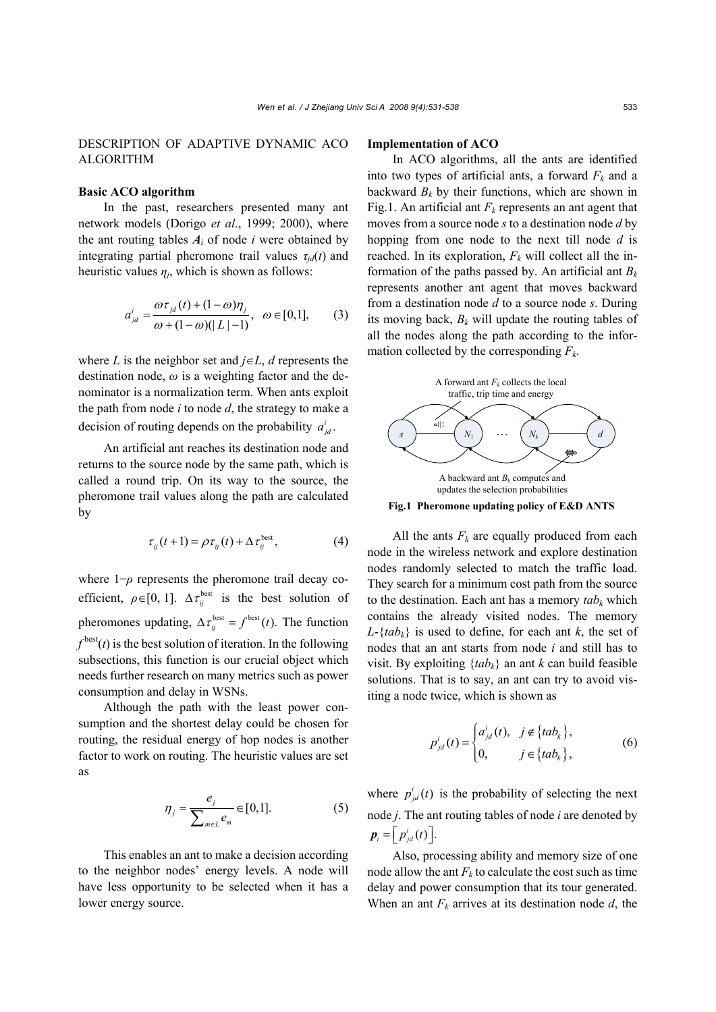# DESCRIPTION OF ADAPTIVE DYNAMIC ACO ALGORITHM

## **Basic ACO algorithm**

In the past, researchers presented many ant network models (Dorigo *et al*., 1999; 2000), where the ant routing tables  $A_i$  of node *i* were obtained by integrating partial pheromone trail values  $\tau_{id}(t)$  and heuristic values  $\eta_i$ , which is shown as follows:

$$
a_{jd}^i = \frac{\omega \tau_{jd}(t) + (1 - \omega)\eta_j}{\omega + (1 - \omega)(|L| - 1)}, \quad \omega \in [0, 1], \tag{3}
$$

where *L* is the neighbor set and  $j \in L$ , *d* represents the destination node, *ω* is a weighting factor and the denominator is a normalization term. When ants exploit the path from node *i* to node *d*, the strategy to make a decision of routing depends on the probability  $a_{id}^i$ .

An artificial ant reaches its destination node and returns to the source node by the same path, which is called a round trip. On its way to the source, the pheromone trail values along the path are calculated by

$$
\tau_{ij}(t+1) = \rho \tau_{ij}(t) + \Delta \tau_{ij}^{\text{best}}, \qquad (4)
$$

where 1−*ρ* represents the pheromone trail decay coefficient,  $\rho \in [0, 1]$ .  $\Delta \tau_{ij}^{\text{best}}$  is the best solution of pheromones updating,  $\Delta \tau_{ij}^{\text{best}} = f^{\text{best}}(t)$ . The function  $f<sup>best</sup>(t)$  is the best solution of iteration. In the following subsections, this function is our crucial object which needs further research on many metrics such as power consumption and delay in WSNs.

Although the path with the least power consumption and the shortest delay could be chosen for routing, the residual energy of hop nodes is another factor to work on routing. The heuristic values are set as

$$
\eta_j = \frac{e_j}{\sum_{m \in L} e_m} \in [0,1]. \tag{5}
$$

This enables an ant to make a decision according to the neighbor nodes' energy levels. A node will have less opportunity to be selected when it has a lower energy source.

#### **Implementation of ACO**

In ACO algorithms, all the ants are identified into two types of artificial ants, a forward  $F_k$  and a backward  $B_k$  by their functions, which are shown in Fig.1. An artificial ant  $F_k$  represents an ant agent that moves from a source node *s* to a destination node *d* by hopping from one node to the next till node *d* is reached. In its exploration,  $F_k$  will collect all the information of the paths passed by. An artificial ant  $B_k$ represents another ant agent that moves backward from a destination node *d* to a source node *s*. During its moving back,  $B_k$  will update the routing tables of all the nodes along the path according to the information collected by the corresponding *Fk*.



**Fig.1 Pheromone updating policy of E&D ANTS**

All the ants  $F_k$  are equally produced from each node in the wireless network and explore destination nodes randomly selected to match the traffic load. They search for a minimum cost path from the source to the destination. Each ant has a memory  $tab_k$  which contains the already visited nodes. The memory  $L$ -{*} is used to define, for each ant <i>k*, the set of nodes that an ant starts from node *i* and still has to visit. By exploiting  $\{tab_k\}$  an ant *k* can build feasible solutions. That is to say, an ant can try to avoid visiting a node twice, which is shown as

$$
p_{jd}^{i}(t) = \begin{cases} a_{jd}^{i}(t), & j \notin \{tab_k\}, \\ 0, & j \in \{tab_k\}, \end{cases}
$$
 (6)

where  $p_{j d}^{i}(t)$  is the probability of selecting the next node *j*. The ant routing tables of node *i* are denoted by  $\boldsymbol{p}_i = \left[ p^i_{jd}(t) \right]$ .

Also, processing ability and memory size of one node allow the ant  $F_k$  to calculate the cost such as time delay and power consumption that its tour generated. When an ant  $F_k$  arrives at its destination node  $d$ , the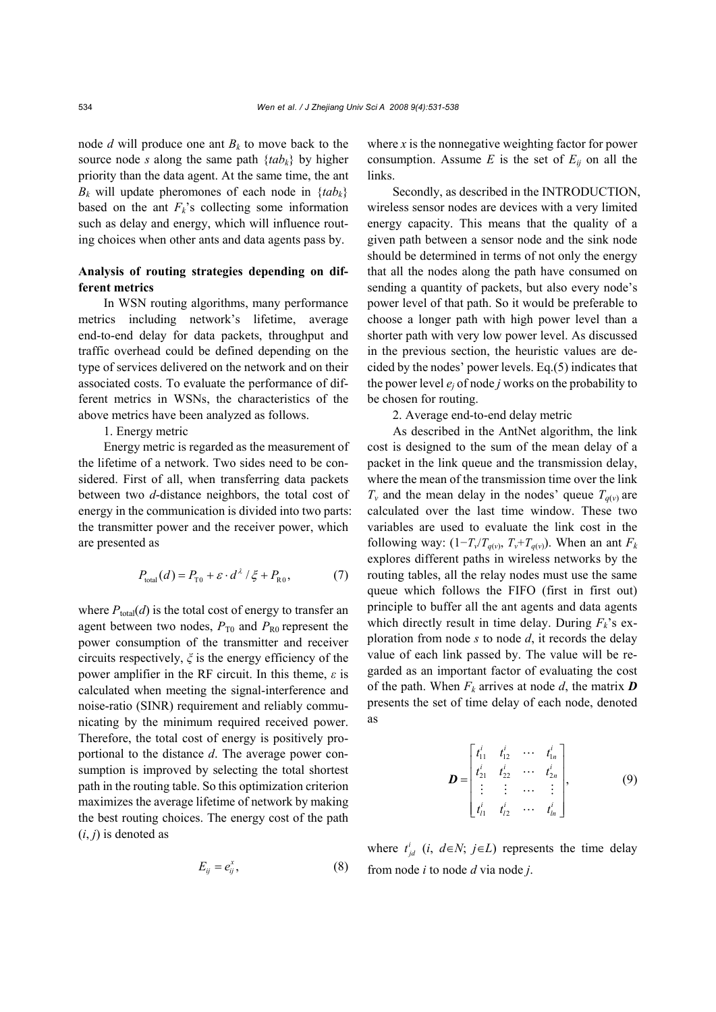node *d* will produce one ant  $B_k$  to move back to the source node *s* along the same path  $\{tab_k\}$  by higher priority than the data agent. At the same time, the ant  $B_k$  will update pheromones of each node in  $\{tab_k\}$ based on the ant  $F_k$ 's collecting some information such as delay and energy, which will influence routing choices when other ants and data agents pass by.

# **Analysis of routing strategies depending on different metrics**

In WSN routing algorithms, many performance metrics including network's lifetime, average end-to-end delay for data packets, throughput and traffic overhead could be defined depending on the type of services delivered on the network and on their associated costs. To evaluate the performance of different metrics in WSNs, the characteristics of the above metrics have been analyzed as follows.

1. Energy metric

Energy metric is regarded as the measurement of the lifetime of a network. Two sides need to be considered. First of all, when transferring data packets between two *d*-distance neighbors, the total cost of energy in the communication is divided into two parts: the transmitter power and the receiver power, which are presented as

$$
P_{\text{total}}(d) = P_{\text{T0}} + \varepsilon \cdot d^{\lambda} / \xi + P_{\text{R0}},\tag{7}
$$

where  $P_{total}(d)$  is the total cost of energy to transfer an agent between two nodes,  $P_{\text{T0}}$  and  $P_{\text{R0}}$  represent the power consumption of the transmitter and receiver circuits respectively, *ξ* is the energy efficiency of the power amplifier in the RF circuit. In this theme, *ε* is calculated when meeting the signal-interference and noise-ratio (SINR) requirement and reliably communicating by the minimum required received power. Therefore, the total cost of energy is positively proportional to the distance *d*. The average power consumption is improved by selecting the total shortest path in the routing table. So this optimization criterion maximizes the average lifetime of network by making the best routing choices. The energy cost of the path  $(i, j)$  is denoted as

$$
E_{ij} = e_{ij}^x, \tag{8}
$$

where *x* is the nonnegative weighting factor for power consumption. Assume  $E$  is the set of  $E_{ij}$  on all the links.

Secondly, as described in the INTRODUCTION, wireless sensor nodes are devices with a very limited energy capacity. This means that the quality of a given path between a sensor node and the sink node should be determined in terms of not only the energy that all the nodes along the path have consumed on sending a quantity of packets, but also every node's power level of that path. So it would be preferable to choose a longer path with high power level than a shorter path with very low power level. As discussed in the previous section, the heuristic values are decided by the nodes' power levels. Eq.(5) indicates that the power level  $e_i$  of node *j* works on the probability to be chosen for routing.

2. Average end-to-end delay metric

As described in the AntNet algorithm, the link cost is designed to the sum of the mean delay of a packet in the link queue and the transmission delay, where the mean of the transmission time over the link  $T_v$  and the mean delay in the nodes' queue  $T_{q(v)}$  are calculated over the last time window. These two variables are used to evaluate the link cost in the following way:  $(1-T_v/T_{q(v)}, T_v+T_{q(v)})$ . When an ant  $F_k$ explores different paths in wireless networks by the routing tables, all the relay nodes must use the same queue which follows the FIFO (first in first out) principle to buffer all the ant agents and data agents which directly result in time delay. During  $F_k$ 's exploration from node *s* to node *d*, it records the delay value of each link passed by. The value will be regarded as an important factor of evaluating the cost of the path. When  $F_k$  arrives at node  $d$ , the matrix **D** presents the set of time delay of each node, denoted as

$$
\boldsymbol{D} = \begin{bmatrix} t_{11}^i & t_{12}^i & \cdots & t_{1n}^i \\ t_{21}^i & t_{22}^i & \cdots & t_{2n}^i \\ \vdots & \vdots & \cdots & \vdots \\ t_{n1}^i & t_{n2}^i & \cdots & t_{n}^i \end{bmatrix},
$$
(9)

where  $t^i_{jd}$  (*i*,  $d \in N$ ;  $j \in L$ ) represents the time delay from node *i* to node *d* via node *j*.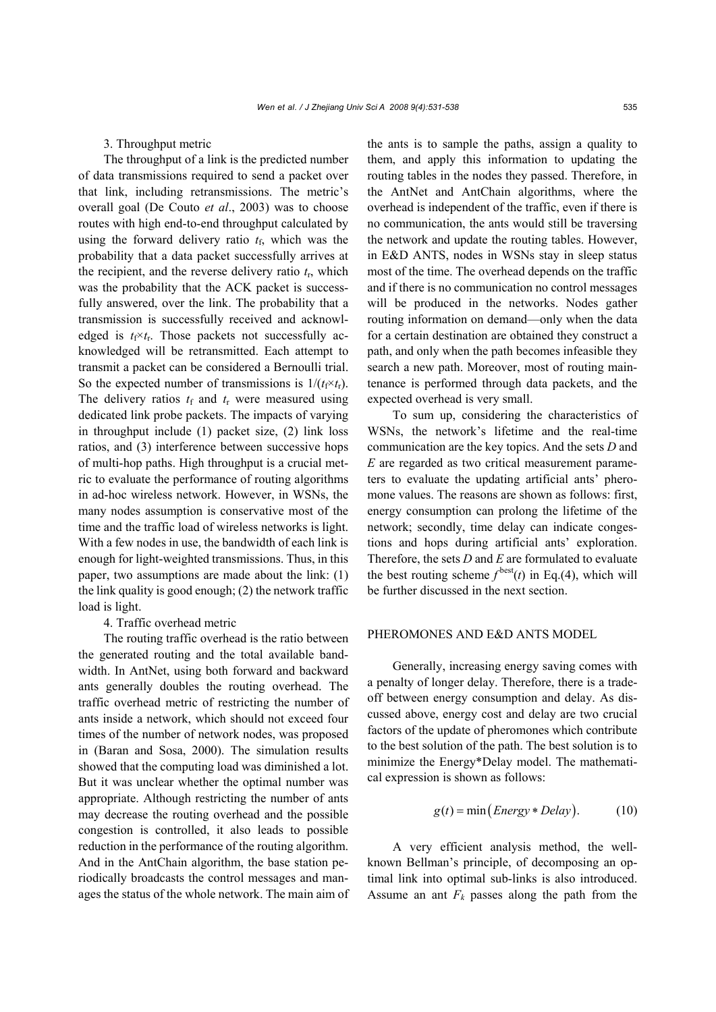#### 3. Throughput metric

The throughput of a link is the predicted number of data transmissions required to send a packet over that link, including retransmissions. The metric's overall goal (De Couto *et al*., 2003) was to choose routes with high end-to-end throughput calculated by using the forward delivery ratio  $t_f$ , which was the probability that a data packet successfully arrives at the recipient, and the reverse delivery ratio  $t_r$ , which was the probability that the ACK packet is successfully answered, over the link. The probability that a transmission is successfully received and acknowledged is  $t_f \times t_r$ . Those packets not successfully acknowledged will be retransmitted. Each attempt to transmit a packet can be considered a Bernoulli trial. So the expected number of transmissions is  $1/(t_f \times t_r)$ . The delivery ratios  $t_f$  and  $t_r$  were measured using dedicated link probe packets. The impacts of varying in throughput include (1) packet size, (2) link loss ratios, and (3) interference between successive hops of multi-hop paths. High throughput is a crucial metric to evaluate the performance of routing algorithms in ad-hoc wireless network. However, in WSNs, the many nodes assumption is conservative most of the time and the traffic load of wireless networks is light. With a few nodes in use, the bandwidth of each link is enough for light-weighted transmissions. Thus, in this paper, two assumptions are made about the link: (1) the link quality is good enough; (2) the network traffic load is light.

#### 4. Traffic overhead metric

The routing traffic overhead is the ratio between the generated routing and the total available bandwidth. In AntNet, using both forward and backward ants generally doubles the routing overhead. The traffic overhead metric of restricting the number of ants inside a network, which should not exceed four times of the number of network nodes, was proposed in (Baran and Sosa, 2000). The simulation results showed that the computing load was diminished a lot. But it was unclear whether the optimal number was appropriate. Although restricting the number of ants may decrease the routing overhead and the possible congestion is controlled, it also leads to possible reduction in the performance of the routing algorithm. And in the AntChain algorithm, the base station periodically broadcasts the control messages and manages the status of the whole network. The main aim of the ants is to sample the paths, assign a quality to them, and apply this information to updating the routing tables in the nodes they passed. Therefore, in the AntNet and AntChain algorithms, where the overhead is independent of the traffic, even if there is no communication, the ants would still be traversing the network and update the routing tables. However, in E&D ANTS, nodes in WSNs stay in sleep status most of the time. The overhead depends on the traffic and if there is no communication no control messages will be produced in the networks. Nodes gather routing information on demand—only when the data for a certain destination are obtained they construct a path, and only when the path becomes infeasible they search a new path. Moreover, most of routing maintenance is performed through data packets, and the expected overhead is very small.

To sum up, considering the characteristics of WSNs, the network's lifetime and the real-time communication are the key topics. And the sets *D* and *E* are regarded as two critical measurement parameters to evaluate the updating artificial ants' pheromone values. The reasons are shown as follows: first, energy consumption can prolong the lifetime of the network; secondly, time delay can indicate congestions and hops during artificial ants' exploration. Therefore, the sets *D* and *E* are formulated to evaluate the best routing scheme  $f<sup>best</sup>(t)$  in Eq.(4), which will be further discussed in the next section.

#### PHEROMONES AND E&D ANTS MODEL

Generally, increasing energy saving comes with a penalty of longer delay. Therefore, there is a tradeoff between energy consumption and delay. As discussed above, energy cost and delay are two crucial factors of the update of pheromones which contribute to the best solution of the path. The best solution is to minimize the Energy\*Delay model. The mathematical expression is shown as follows:

$$
g(t) = \min(\text{Energy} * \text{Delay}).\tag{10}
$$

A very efficient analysis method, the wellknown Bellman's principle, of decomposing an optimal link into optimal sub-links is also introduced. Assume an ant  $F_k$  passes along the path from the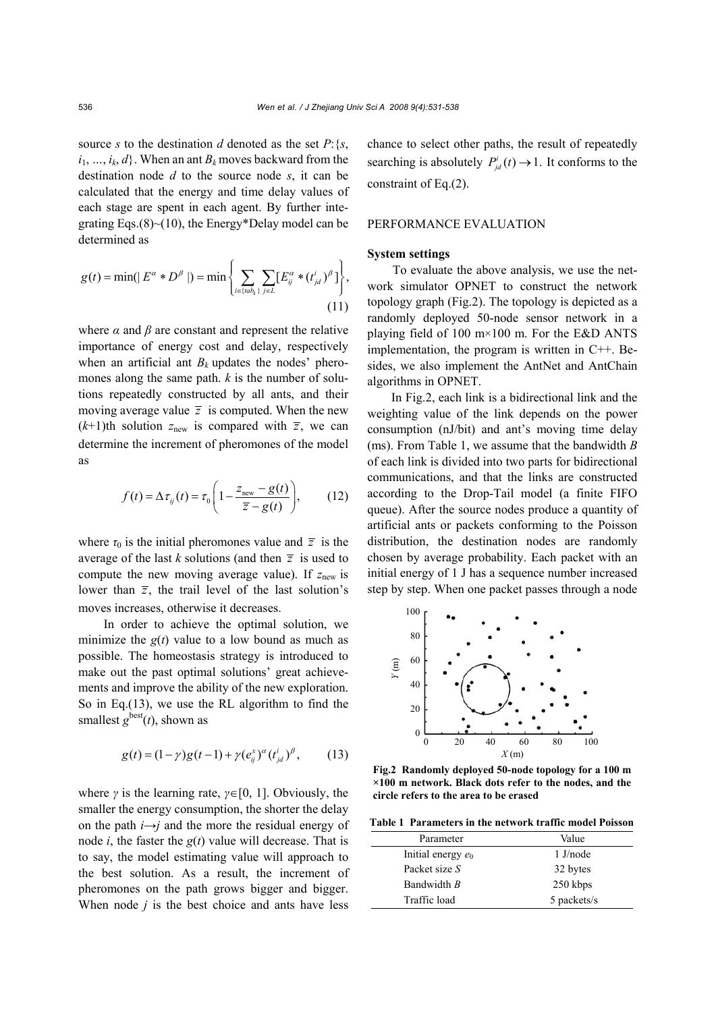source *s* to the destination *d* denoted as the set *P*:{*s*,  $i_1, \ldots, i_k, d$ . When an ant  $B_k$  moves backward from the destination node *d* to the source node *s*, it can be calculated that the energy and time delay values of each stage are spent in each agent. By further integrating Eqs.(8)~(10), the Energy\*Delay model can be determined as

$$
g(t) = \min(|E^{\alpha} * D^{\beta}|) = \min\left\{\sum_{i \in \{tab_k\}} \sum_{j \in L} [E^{\alpha}_{ij} * (t^{i}_{jd})^{\beta}] \right\},\tag{11}
$$

where  $\alpha$  and  $\beta$  are constant and represent the relative importance of energy cost and delay, respectively when an artificial ant  $B_k$  updates the nodes' pheromones along the same path. *k* is the number of solutions repeatedly constructed by all ants, and their moving average value  $\overline{z}$  is computed. When the new  $(k+1)$ th solution  $z_{new}$  is compared with  $\overline{z}$ , we can determine the increment of pheromones of the model as

$$
f(t) = \Delta \tau_{ij}(t) = \tau_0 \left( 1 - \frac{z_{\text{new}} - g(t)}{\overline{z} - g(t)} \right), \qquad (12)
$$

where  $\tau_0$  is the initial pheromones value and  $\bar{z}$  is the average of the last  $k$  solutions (and then  $\overline{z}$  is used to compute the new moving average value). If *z*new is lower than  $\overline{z}$ , the trail level of the last solution's moves increases, otherwise it decreases.

In order to achieve the optimal solution, we minimize the  $g(t)$  value to a low bound as much as possible. The homeostasis strategy is introduced to make out the past optimal solutions' great achievements and improve the ability of the new exploration. So in Eq.(13), we use the RL algorithm to find the smallest  $g^{\text{best}}(t)$ , shown as

$$
g(t) = (1 - \gamma)g(t - 1) + \gamma (e_{ij}^{x})^{\alpha} (t_{jd}^{i})^{\beta}, \qquad (13)
$$

where  $\gamma$  is the learning rate,  $\gamma \in [0, 1]$ . Obviously, the smaller the energy consumption, the shorter the delay on the path  $i \rightarrow j$  and the more the residual energy of node *i*, the faster the *g*(*t*) value will decrease. That is to say, the model estimating value will approach to the best solution. As a result, the increment of pheromones on the path grows bigger and bigger. When node  $j$  is the best choice and ants have less chance to select other paths, the result of repeatedly searching is absolutely  $P_{id}^{i}(t) \rightarrow 1$ . It conforms to the constraint of Eq.(2).

#### PERFORMANCE EVALUATION

#### **System settings**

To evaluate the above analysis, we use the network simulator OPNET to construct the network topology graph (Fig.2). The topology is depicted as a randomly deployed 50-node sensor network in a playing field of 100 m×100 m. For the E&D ANTS implementation, the program is written in C++. Besides, we also implement the AntNet and AntChain algorithms in OPNET.

In Fig.2, each link is a bidirectional link and the weighting value of the link depends on the power consumption (nJ/bit) and ant's moving time delay (ms). From Table 1, we assume that the bandwidth *B* of each link is divided into two parts for bidirectional communications, and that the links are constructed according to the Drop-Tail model (a finite FIFO queue). After the source nodes produce a quantity of artificial ants or packets conforming to the Poisson distribution, the destination nodes are randomly chosen by average probability. Each packet with an initial energy of 1 J has a sequence number increased step by step. When one packet passes through a node



**Fig.2 Randomly deployed 50-node topology for a 100 m ×100 m network. Black dots refer to the nodes, and the circle refers to the area to be erased**

**Table 1 Parameters in the network traffic model Poisson**

| Parameter            | Value       |
|----------------------|-------------|
| Initial energy $e_0$ | $1$ J/node  |
| Packet size S        | 32 bytes    |
| Bandwidth B          | 250 kbps    |
| Traffic load         | 5 packets/s |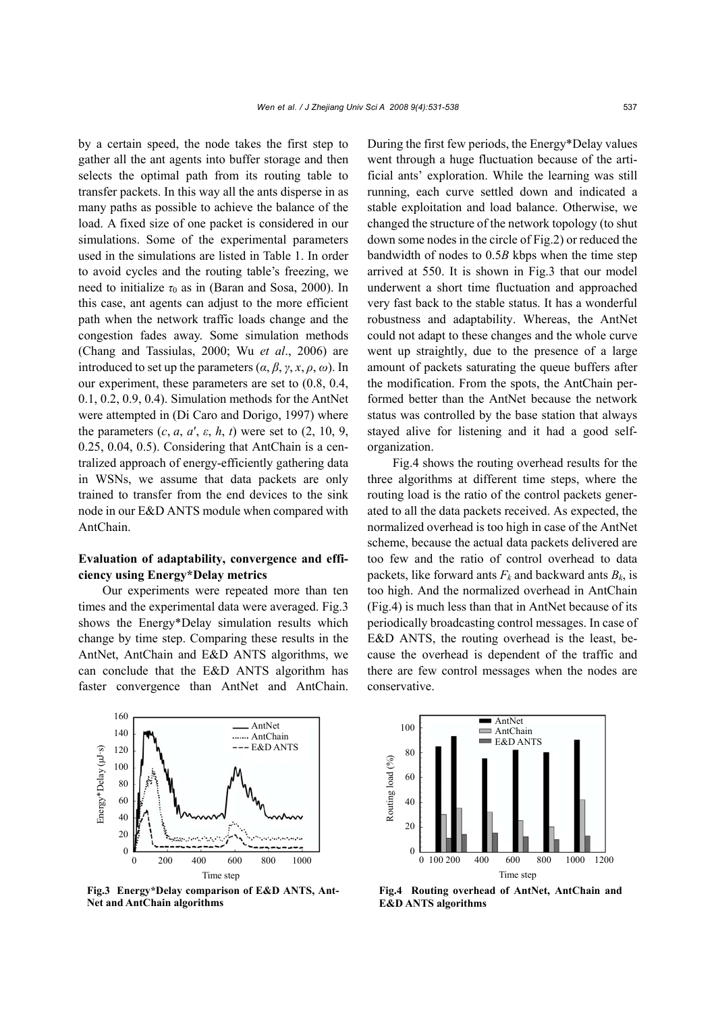by a certain speed, the node takes the first step to gather all the ant agents into buffer storage and then selects the optimal path from its routing table to transfer packets. In this way all the ants disperse in as many paths as possible to achieve the balance of the load. A fixed size of one packet is considered in our simulations. Some of the experimental parameters used in the simulations are listed in Table 1. In order to avoid cycles and the routing table's freezing, we need to initialize  $\tau_0$  as in (Baran and Sosa, 2000). In this case, ant agents can adjust to the more efficient path when the network traffic loads change and the congestion fades away. Some simulation methods (Chang and Tassiulas, 2000; Wu *et al*., 2006) are introduced to set up the parameters  $(\alpha, \beta, \gamma, x, \rho, \omega)$ . In our experiment, these parameters are set to (0.8, 0.4, 0.1, 0.2, 0.9, 0.4). Simulation methods for the AntNet were attempted in (Di Caro and Dorigo, 1997) where the parameters  $(c, a, a', \varepsilon, h, t)$  were set to  $(2, 10, 9,$ 0.25, 0.04, 0.5). Considering that AntChain is a centralized approach of energy-efficiently gathering data in WSNs, we assume that data packets are only trained to transfer from the end devices to the sink node in our E&D ANTS module when compared with AntChain.

# **Evaluation of adaptability, convergence and efficiency using Energy\*Delay metrics**

Our experiments were repeated more than ten times and the experimental data were averaged. Fig.3 shows the Energy\*Delay simulation results which change by time step. Comparing these results in the AntNet, AntChain and E&D ANTS algorithms, we can conclude that the E&D ANTS algorithm has faster convergence than AntNet and AntChain. During the first few periods, the Energy\*Delay values went through a huge fluctuation because of the artificial ants' exploration. While the learning was still running, each curve settled down and indicated a stable exploitation and load balance. Otherwise, we changed the structure of the network topology (to shut down some nodes in the circle of Fig.2) or reduced the bandwidth of nodes to 0.5*B* kbps when the time step arrived at 550. It is shown in Fig.3 that our model underwent a short time fluctuation and approached very fast back to the stable status. It has a wonderful robustness and adaptability. Whereas, the AntNet could not adapt to these changes and the whole curve went up straightly, due to the presence of a large amount of packets saturating the queue buffers after the modification. From the spots, the AntChain performed better than the AntNet because the network status was controlled by the base station that always stayed alive for listening and it had a good selforganization.

Fig.4 shows the routing overhead results for the three algorithms at different time steps, where the routing load is the ratio of the control packets generated to all the data packets received. As expected, the normalized overhead is too high in case of the AntNet scheme, because the actual data packets delivered are too few and the ratio of control overhead to data packets, like forward ants  $F_k$  and backward ants  $B_k$ , is too high. And the normalized overhead in AntChain (Fig.4) is much less than that in AntNet because of its periodically broadcasting control messages. In case of E&D ANTS, the routing overhead is the least, because the overhead is dependent of the traffic and there are few control messages when the nodes are conservative.



**Fig.3 Energy\*Delay comparison of E&D ANTS, Ant-Net and AntChain algorithms**



**Fig.4 Routing overhead of AntNet, AntChain and E&D ANTS algorithms**